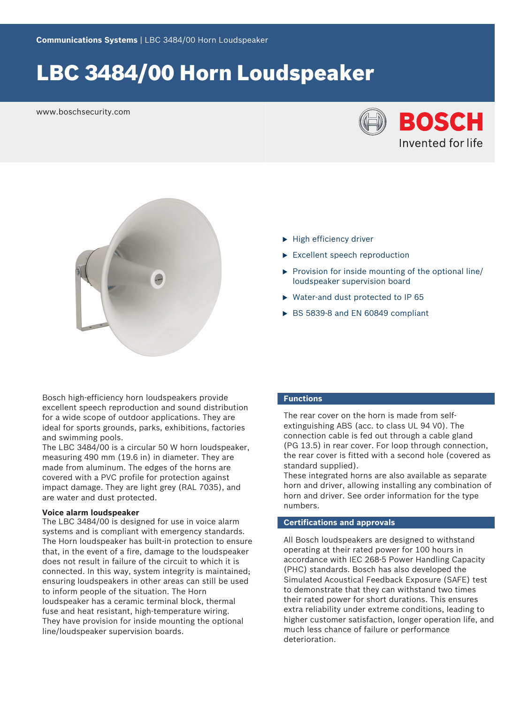# LBC 3484/00 Horn Loudspeaker

www.boschsecurity.com





- $\blacktriangleright$  High efficiency driver
- $\blacktriangleright$  Excellent speech reproduction
- $\triangleright$  Provision for inside mounting of the optional line/ loudspeaker supervision board
- $\triangleright$  Water-and dust protected to IP 65
- ▶ BS 5839-8 and EN 60849 compliant

Bosch high-efficiency horn loudspeakers provide excellent speech reproduction and sound distribution for a wide scope of outdoor applications. They are ideal for sports grounds, parks, exhibitions, factories and swimming pools.

The LBC 3484/00 is a circular 50 W horn loudspeaker, measuring 490 mm (19.6 in) in diameter. They are made from aluminum. The edges of the horns are covered with a PVC profile for protection against impact damage. They are light grey (RAL 7035), and are water and dust protected.

# **Voice alarm loudspeaker**

The LBC 3484/00 is designed for use in voice alarm systems and is compliant with emergency standards. The Horn loudspeaker has built-in protection to ensure that, in the event of a fire, damage to the loudspeaker does not result in failure of the circuit to which it is connected. In this way, system integrity is maintained; ensuring loudspeakers in other areas can still be used to inform people of the situation. The Horn loudspeaker has a ceramic terminal block, thermal fuse and heat resistant, high-temperature wiring. They have provision for inside mounting the optional line/loudspeaker supervision boards.

# **Functions**

The rear cover on the horn is made from selfextinguishing ABS (acc. to class UL 94 V0). The connection cable is fed out through a cable gland (PG 13.5) in rear cover. For loop through connection, the rear cover is fitted with a second hole (covered as standard supplied).

These integrated horns are also available as separate horn and driver, allowing installing any combination of horn and driver. See order information for the type numbers.

# **Certifications and approvals**

All Bosch loudspeakers are designed to withstand operating at their rated power for 100 hours in accordance with IEC 268-5 Power Handling Capacity (PHC) standards. Bosch has also developed the Simulated Acoustical Feedback Exposure (SAFE) test to demonstrate that they can withstand two times their rated power for short durations. This ensures extra reliability under extreme conditions, leading to higher customer satisfaction, longer operation life, and much less chance of failure or performance deterioration.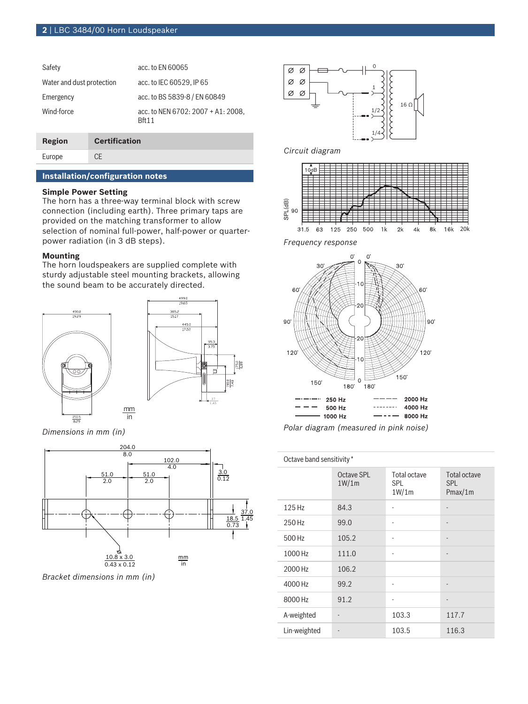| Safety                    | acc. to EN 60065                                      |
|---------------------------|-------------------------------------------------------|
| Water and dust protection | acc. to IEC 60529, IP 65                              |
| Emergency                 | acc. to BS 5839-8 / EN 60849                          |
| Wind-force                | acc. to NEN 6702: $2007 + A1: 2008$ .<br><b>Rft11</b> |

| Region | <b>Certification</b> |
|--------|----------------------|
| Europe | CE                   |

# **Installation/configuration notes**

# **Simple Power Setting**

The horn has a three-way terminal block with screw connection (including earth). Three primary taps are provided on the matching transformer to allow selection of nominal full-power, half-power or quarterpower radiation (in 3 dB steps).

## **Mounting**

The horn loudspeakers are supplied complete with sturdy adjustable steel mounting brackets, allowing the sound beam to be accurately directed.





*Dimensions in mm (in)*



*Bracket dimensions in mm (in)*



# *Circuit diagram*



*Frequency response*



*Polar diagram (measured in pink noise)*

| Octave band sensitivity * |                     |                               |                                |
|---------------------------|---------------------|-------------------------------|--------------------------------|
|                           | Octave SPL<br>1W/1m | Total octave<br>SPL.<br>1W/1m | Total octave<br>SPL<br>Pmax/1m |
| 125 Hz                    | 84.3                |                               |                                |
| 250 Hz                    | 99.0                |                               | $\overline{\phantom{m}}$       |
| 500 Hz                    | 105.2               |                               |                                |
| 1000 Hz                   | 111.0               |                               | $\overline{\phantom{m}}$       |
| 2000 Hz                   | 106.2               |                               |                                |
| 4000 Hz                   | 99.2                |                               |                                |
| 8000 Hz                   | 91.2                |                               |                                |
| A-weighted                |                     | 103.3                         | 117.7                          |
| Lin-weighted              |                     | 103.5                         | 116.3                          |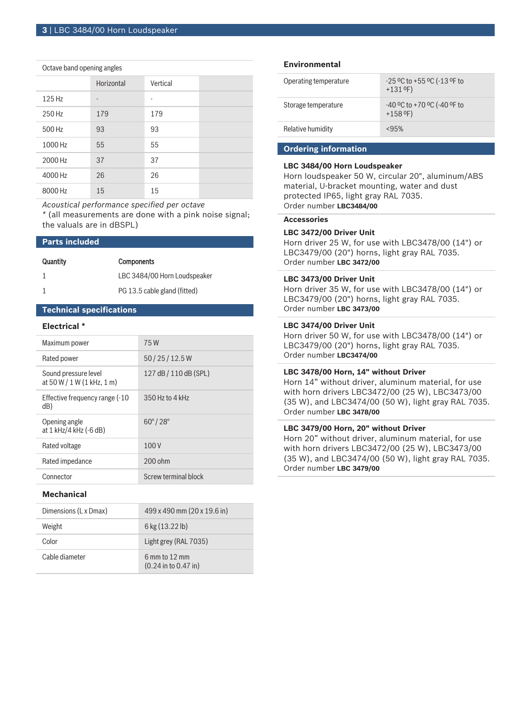#### Octave band opening angles

|         | Horizontal | Vertical |  |
|---------|------------|----------|--|
| 125 Hz  | ٠          | ٠        |  |
| 250 Hz  | 179        | 179      |  |
| 500 Hz  | 93         | 93       |  |
| 1000 Hz | 55         | 55       |  |
| 2000 Hz | 37         | 37       |  |
| 4000 Hz | 26         | 26       |  |
| 8000 Hz | 15         | 15       |  |

*Acoustical performance specified per octave*

*\** (all measurements are done with a pink noise signal; the valuals are in dBSPL)

# **Parts included**

| Quantity | <b>Components</b>            |
|----------|------------------------------|
|          | LBC 3484/00 Horn Loudspeaker |
|          | PG 13.5 cable gland (fitted) |

# **Technical specifications**

# **Electrical \***

| Maximum power                                        | 75W                     |
|------------------------------------------------------|-------------------------|
| Rated power                                          | 50/25/12.5W             |
| Sound pressure level<br>at $50 W / 1 W (1 kHz, 1 m)$ | 127 dB / 110 dB (SPL)   |
| Effective frequency range (-10<br>dB)                | 350 Hz to 4 kHz         |
| Opening angle<br>at 1 kHz/4 kHz (-6 dB)              | $60^{\circ}/28^{\circ}$ |
| Rated voltage                                        | 100V                    |
| Rated impedance                                      | 200 ohm                 |
| Connector                                            | Screw terminal block    |
|                                                      |                         |

# **Mechanical**

| Dimensions (L x Dmax) | 499 x 490 mm (20 x 19.6 in)                   |
|-----------------------|-----------------------------------------------|
| Weight                | $6 \text{ kg} (13.22 \text{ lb})$             |
| Color                 | Light grey (RAL 7035)                         |
| Cable diameter        | $6$ mm to $12$ mm<br>$(0.24$ in to $0.47$ in) |

# **Environmental**

| Operating temperature | $-25$ °C to +55 °C ( $-13$ °F to<br>$+131$ °F) |
|-----------------------|------------------------------------------------|
| Storage temperature   | -40 °C to +70 °C (-40 °F to<br>$+158$ °F)      |
| Relative humidity     | < 95%                                          |

# **Ordering information**

# **LBC 3484/00 Horn Loudspeaker**

Horn loudspeaker 50 W, circular 20", aluminum/ABS material, U-bracket mounting, water and dust protected IP65, light gray RAL 7035. Order number **LBC3484/00**

# **Accessories**

#### **LBC 3472/00 Driver Unit**

Horn driver 25 W, for use with LBC3478/00 (14") or LBC3479/00 (20") horns, light gray RAL 7035. Order number **LBC 3472/00**

# **LBC 3473/00 Driver Unit**

Horn driver 35 W, for use with LBC3478/00 (14") or LBC3479/00 (20") horns, light gray RAL 7035. Order number **LBC 3473/00**

#### **LBC 3474/00 Driver Unit**

Horn driver 50 W, for use with LBC3478/00 (14") or LBC3479/00 (20") horns, light gray RAL 7035. Order number **LBC3474/00**

#### **LBC 3478/00 Horn, 14" without Driver**

Horn 14" without driver, aluminum material, for use with horn drivers LBC3472/00 (25 W), LBC3473/00 (35 W), and LBC3474/00 (50 W), light gray RAL 7035. Order number **LBC 3478/00**

# **LBC 3479/00 Horn, 20" without Driver**

Horn 20" without driver, aluminum material, for use with horn drivers LBC3472/00 (25 W), LBC3473/00 (35 W), and LBC3474/00 (50 W), light gray RAL 7035. Order number **LBC 3479/00**